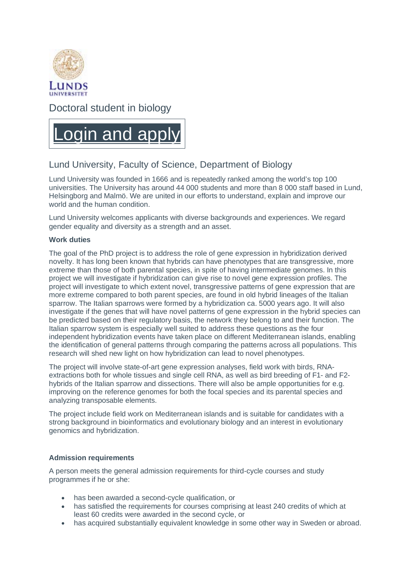

Doctoral student in biology



# Lund University, Faculty of Science, Department of Biology

Lund University was founded in 1666 and is repeatedly ranked among the world's top 100 universities. The University has around 44 000 students and more than 8 000 staff based in Lund, Helsingborg and Malmö. We are united in our efforts to understand, explain and improve our world and the human condition.

Lund University welcomes applicants with diverse backgrounds and experiences. We regard gender equality and diversity as a strength and an asset.

## **Work duties**

The goal of the PhD project is to address the role of gene expression in hybridization derived novelty. It has long been known that hybrids can have phenotypes that are transgressive, more extreme than those of both parental species, in spite of having intermediate genomes. In this project we will investigate if hybridization can give rise to novel gene expression profiles. The project will investigate to which extent novel, transgressive patterns of gene expression that are more extreme compared to both parent species, are found in old hybrid lineages of the Italian sparrow. The Italian sparrows were formed by a hybridization ca. 5000 years ago. It will also investigate if the genes that will have novel patterns of gene expression in the hybrid species can be predicted based on their regulatory basis, the network they belong to and their function. The Italian sparrow system is especially well suited to address these questions as the four independent hybridization events have taken place on different Mediterranean islands, enabling the identification of general patterns through comparing the patterns across all populations. This research will shed new light on how hybridization can lead to novel phenotypes.

The project will involve state-of-art gene expression analyses, field work with birds, RNAextractions both for whole tissues and single cell RNA, as well as bird breeding of F1- and F2 hybrids of the Italian sparrow and dissections. There will also be ample opportunities for e.g. improving on the reference genomes for both the focal species and its parental species and analyzing transposable elements.

The project include field work on Mediterranean islands and is suitable for candidates with a strong background in bioinformatics and evolutionary biology and an interest in evolutionary genomics and hybridization.

## **Admission requirements**

A person meets the general admission requirements for third-cycle courses and study programmes if he or she:

- has been awarded a second-cycle qualification, or
- has satisfied the requirements for courses comprising at least 240 credits of which at least 60 credits were awarded in the second cycle, or
- has acquired substantially equivalent knowledge in some other way in Sweden or abroad.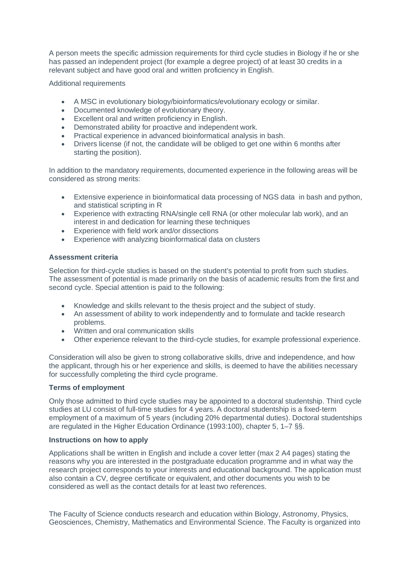A person meets the specific admission requirements for third cycle studies in Biology if he or she has passed an independent project (for example a degree project) of at least 30 credits in a relevant subject and have good oral and written proficiency in English.

Additional requirements

- A MSC in evolutionary biology/bioinformatics/evolutionary ecology or similar.
- Documented knowledge of evolutionary theory.
- Excellent oral and written proficiency in English.
- Demonstrated ability for proactive and independent work.
- Practical experience in advanced bioinformatical analysis in bash.
- Drivers license (if not, the candidate will be obliged to get one within 6 months after starting the position).

In addition to the mandatory requirements, documented experience in the following areas will be considered as strong merits:

- Extensive experience in bioinformatical data processing of NGS data in bash and python, and statistical scripting in R
- Experience with extracting RNA/single cell RNA (or other molecular lab work), and an interest in and dedication for learning these techniques
- Experience with field work and/or dissections
- Experience with analyzing bioinformatical data on clusters

## **Assessment criteria**

Selection for third-cycle studies is based on the student's potential to profit from such studies. The assessment of potential is made primarily on the basis of academic results from the first and second cycle. Special attention is paid to the following:

- Knowledge and skills relevant to the thesis project and the subject of study.
- An assessment of ability to work independently and to formulate and tackle research problems.
- Written and oral communication skills
- Other experience relevant to the third-cycle studies, for example professional experience.

Consideration will also be given to strong collaborative skills, drive and independence, and how the applicant, through his or her experience and skills, is deemed to have the abilities necessary for successfully completing the third cycle programe.

#### **Terms of employment**

Only those admitted to third cycle studies may be appointed to a doctoral studentship. Third cycle studies at LU consist of full-time studies for 4 years. A doctoral studentship is a fixed-term employment of a maximum of 5 years (including 20% departmental duties). Doctoral studentships are regulated in the Higher Education Ordinance (1993:100), chapter 5, 1–7 §§.

#### **Instructions on how to apply**

Applications shall be written in English and include a cover letter (max 2 A4 pages) stating the reasons why you are interested in the postgraduate education programme and in what way the research project corresponds to your interests and educational background. The application must also contain a CV, degree certificate or equivalent, and other documents you wish to be considered as well as the contact details for at least two references.

The Faculty of Science conducts research and education within Biology, Astronomy, Physics, Geosciences, Chemistry, Mathematics and Environmental Science. The Faculty is organized into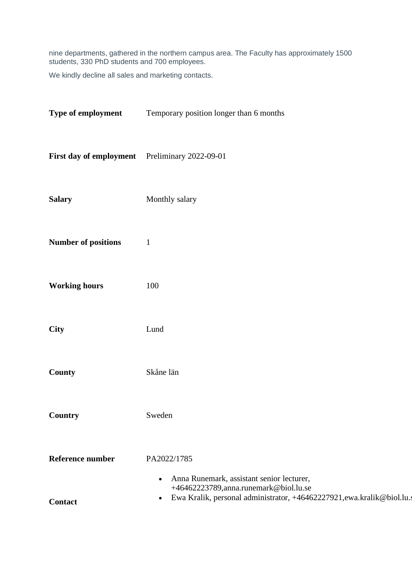nine departments, gathered in the northern campus area. The Faculty has approximately 1500 students, 330 PhD students and 700 employees.

We kindly decline all sales and marketing contacts.

| Type of employment                             | Temporary position longer than 6 months                                                                                      |
|------------------------------------------------|------------------------------------------------------------------------------------------------------------------------------|
| First day of employment Preliminary 2022-09-01 |                                                                                                                              |
| <b>Salary</b>                                  | Monthly salary                                                                                                               |
| <b>Number of positions</b>                     | $\mathbf{1}$                                                                                                                 |
| <b>Working hours</b>                           | 100                                                                                                                          |
| <b>City</b>                                    | Lund                                                                                                                         |
| County                                         | Skåne län                                                                                                                    |
| <b>Country</b>                                 | Sweden                                                                                                                       |
| <b>Reference number</b>                        | PA2022/1785<br>Anna Runemark, assistant senior lecturer,<br>$\bullet$                                                        |
| <b>Contact</b>                                 | +46462223789, anna.runemark@biol.lu.se<br>Ewa Kralik, personal administrator, +46462227921,ewa.kralik@biol.lu.s<br>$\bullet$ |